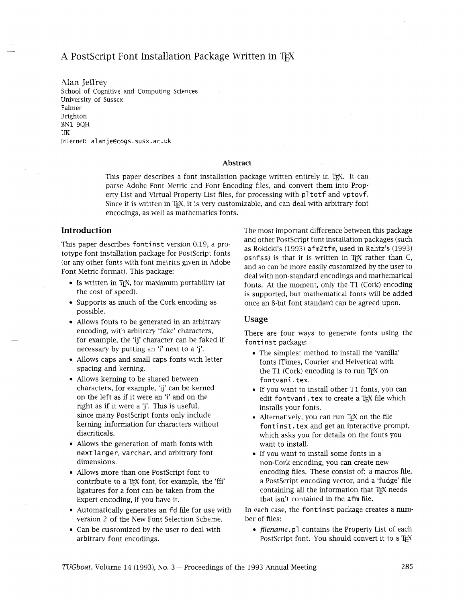# A PostScript Font Installation Package Written in TFX

Alan Jeffrey School of Cognitive and Computing Sciences University of Sussex Falmer Brighton BN1 9QH UK Internet: a1 an jeecogs. susx.ac. uk

### **Abstract**

This paper describes a font installation package written entirely in TEX. It can parse Adobe Font Metric and Font Encoding files, and convert them into Property List and Virtual Property List files, for processing with pltotf and vptovf. Since it is written in TFX, it is very customizable, and can deal with arbitrary font encodings, as well as mathematics fonts.

## **Introduction**

This paper describes fontinst version 0.19, a prototype font installation package for PostScript fonts (or any other fonts with font metrics given in Adobe Font Metric format). This package:

- $\bullet$  Is written in T<sub>E</sub>X, for maximum portability (at the cost of speed).
- Supports as much of the Cork encoding as possible.
- Allows fonts to be generated in an arbitrary encoding, with arbitrary 'fake' characters, for example, the 'ij' character can be faked if necessary by putting an 'i' next to a 'j'.
- Allows caps and small caps fonts with letter spacing and kerning.
- Allows kerning to be shared between characters, for example, 'ij' can be kerned on the left as if it were an 'i' and on the right as if it were a 'j'. This is useful, since many PostScript fonts only include kerning information for characters without diacriticals.
- Allows the generation of math fonts with nextlarger, varchar, and arbitrary font dimensions.
- Allows more than one PostScript font to contribute to a TEX font, for example, the 'ffi' ligatures for a font can be taken from the Expert encoding, if you have it.
- Automatically generates an fd file for use with version 2 of the New Font Selection Scheme.
- Can be customized by the user to deal with arbitrary font encodings.

The most important difference between this package and other PostScript font installation packages (such as Rokicki's (1993) afm2tfm, used in Rahtz's (1993)  $p$ snfss) is that it is written in T<sub>EX</sub> rather than  $C$ , and so can be more easily customized by the user to deal with non-standard encodings and mathematical fonts. At the moment, only the T1 (Cork) encoding is supported, but mathematical fonts will be added once an 8-bit font standard can be agreed upon.

### **Usage**

There are four ways to generate fonts using the fontinst package:

- The simplest method to install the 'vanilla' fonts (Times, Courier and Helvetica) with the T1 (Cork) encoding is to run T<sub>FX</sub> on fontvani . tex.
- If you want to install other TI fonts, you can edit fontvani. tex to create a TEX file which installs your fonts.
- Alternatively, you can run T<sub>EX</sub> on the file fontinst. tex and get an interactive prompt, which asks you for details on the fonts you want to install.
- If you want to install some fonts in a non-Cork encoding, you can create new encoding files. These consist of: a macros file, a PostScript encoding vector, and a 'fudge' file containing all the information that TEX needs that isn't contained in the afm file.

In each case, the fontinst package creates a number of files:

*filename.* pl contains the Property List of each PostScript font. You should convert it to a TEX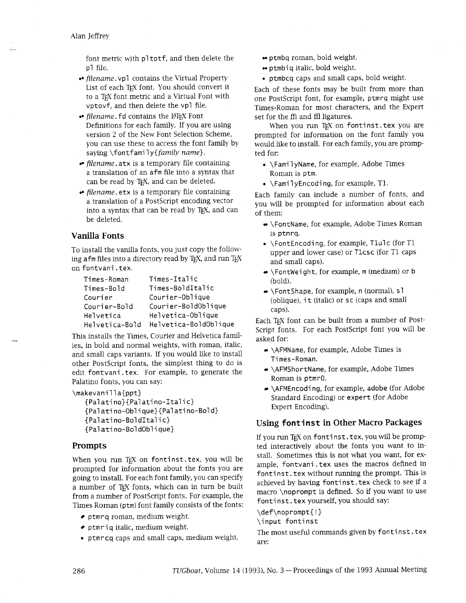font metric with pl totf, and then delete the pl file.

- filename. vpl contains the Virtual Property List of each TEX font. You should convert it to a TFX font metric and a Virtual Font with vptovf, and then delete the vp1 file.
- filename. fd contains the LATEX Font Definitions for each family. If you are using version 2 of the New Font Selection Scheme, you can use these to access the font family by saying \fontfami ly{ $family$  name}.
- filename. atx is a temporary file containing a translation of an afm file into a syntax that can be read by T<sub>F</sub>X, and can be deleted.
- filename. etx is a temporary file containing a translation of a PostScript encoding vector into a syntax that can be read by TFX, and can be deleted.

## **Vanilla Fonts**

To install the vanilla fonts, you just copy the following afm files into a directory read by T<sub>F</sub>X, and run T<sub>F</sub>X on fontvani . tex.

| Times-Roman    | Times-Italic          |  |  |  |  |  |
|----------------|-----------------------|--|--|--|--|--|
| Times-Bold     | Times-BoldItalic      |  |  |  |  |  |
| Courier        | Courier-Oblique       |  |  |  |  |  |
| Courier-Bold   | Courier-BoldOblique   |  |  |  |  |  |
| Helvetica      | Helvetica-Oblique     |  |  |  |  |  |
| Helvetica-Bold | Helvetica-BoldOblique |  |  |  |  |  |

This installs the Times, Courier and Helvetica families, in bold and normal weights, with roman, italic, and small caps variants. If you would like to install other PostScript fonts, the simplest thing to do is edit fontvani . tex. For example, to generate the Palatino fonts, you can say:

\makevanilla{ppt}

```
{Pal ati no}{Palati no-Ital i c} 
{Pal ati no-Obl i que}{Pal ati no-Bol dl 
{Pal ati no-Bol dIta1 i c} 
{Pal ati no-Bol dObl i que}
```
## **Prompts**

When you run TpX on fontinst. tex, you will be prompted for mformation about the fonts you are going to install. For each font family, you can specify a number of TEX fonts, which can in turn be built from a number of PostScript fonts. For example, the Times Roman (ptm) font famdy consists of the fonts:

- ptmrq roman, medium weight.
- $\bullet$  ptmriq italic, medium weight.
- **rn** ptmrcq caps and small caps, medium weight.
- ptmbq roman, bold weight.
- ptmbiq italic, bold weight.
- **rn** ptmbcq caps and small caps, bold weight.

Each of these fonts may be built from more than one PostScript font, for example, ptmrq might use Times-Roman for most characters, and the Expert set for the ffi and ffl ligatures.

When you run TEX on fontinst. tex you are prompted for information on the font family you would like to install. For each family, you are prompted for:

- \Fami lyName, for example, Adobe Times Roman is ptm.
- $\bullet$  \Fami lyEncoding, for example, T1.

Each famly can include a number of fonts, and you will be prompted for information about each of them:

- \FontName, for example, Adobe Times Roman is ptmrq.
- **<sup>s</sup>**\FontEncodi ng, for example, Tlul c (for T1 upper and lower case) or Tlcsc (for T1 caps and small caps).
- $\bullet$  \FontWeight, for example, m (medium) or b (bold).
- $\bullet$  \FontShape, for example, n (normal), sl (oblique), it (italic) or sc (caps and small caps).

Each T<sub>EX</sub> font can be built from a number of Post-Script fonts. For each PostScript font you will be asked for:

- $\bullet$  \AFMName, for example, Adobe Times is Ti mes-Roman.
- \AFMShortName, for example, Adobe Times Roman is ptmr0.
- $\bullet$  \AFMEncoding, for example, adobe (for Adobe Standard Encoding) or expert (for Adobe Expert Encoding).

# **Using fontinst in Other Macro Packages**

If you run TEX on fontinst. tex, you will be prompted interactively about the fonts you want to install. Sometimes this is not what you want, for example, fontvani . tex uses the macros defined in fontinst. tex without running the prompt. This is achieved by having fontinst. tex check to see if a macro \noprompt is defined. So if you want to use fontinst.tex yourself, you should say:

\def\noprompt{!} \input fontinst

The most useful commands given by fontinst.tex are: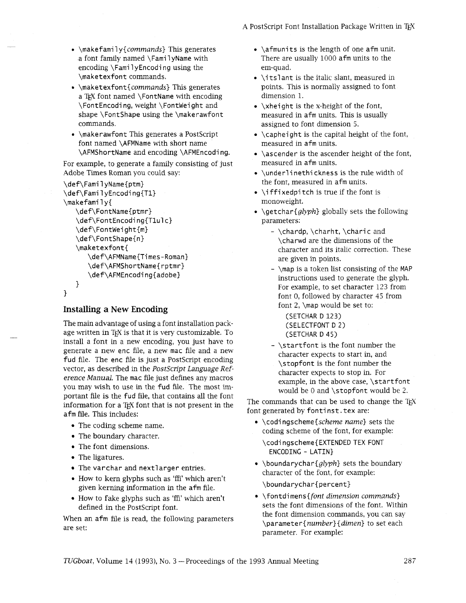**A** PostScript Font Installation Package Written in TEX

- $\bullet$  \makefamily{commands} This generates a font family named \Fami 1 yName with encoding  $\FamilyEncoding using the$ \maketexfont commands.
- \maketexfont{commands} This generates a TEX font named \FontName with encoding \FontEncoding, weight \Fontweight and shape \FontShape using the \makerawfont commands.
- $\bullet$  \makerawfont This generates a PostScript font named \AFMName with short name \AFMShortName and encoding \AFMEncodi ng.

For example, to generate a family consisting of just Adobe Times Roman you could say:

```
\def\FamilyName{ptm} 
\def\Fami 1 yEncodi ng{Tl} 
\makefami 1 y{ 
   \def\FontName{ptmr} 
   \def\FontEncoding{T1ulc}
   \def\FontWeight{m} 
   \def\FontShape{n} 
   \maketexfont{ 
      \def\AFMName{Times-Roman) 
      \def\AFMShortName{rptmr} 
      \def\AFMEncodi ng{adobe} 
   1 
1
```

```
Installing a New Encoding
```
The main advantage of using a font installation package written in T<sub>F</sub>X is that it is very customizable. To install a font in a new encoding, you just have to generate a new enc file, a new mac file and a new fud file. The enc file is just a PostScript encoding vector, as described in the PostScript Language Reference Manual. The mac file just defines any macros you may wish to use in the fud file. The most important file is the fud file, that contains all the font information for a T<sub>EX</sub> font that is not present in the afm file. This includes:

- 
- 
- 
- The ligatures.
- 
- How to kern glyphs such as 'ffi' which aren't given kerning information in the afm file.<br>
How to fake glyphs such as 'ffi' which aren't <br>
How to fake glyphs such as 'ffi' which aren't <br>
• \fontdimens{*font dimension commands*}
- $\bullet$  How to fake glyphs such as 'ffi' which aren't

When an afm file is read, the following parameters  $\{number\{dimen\} \}$  to set each are set:

- $\bullet$  \afmunits is the length of one afm unit. There are usually 1000 afm units to the em-quad.
- \itslant is the italic slant, measured in points. This is normally assigned to font dimension 1.
- $\bullet$  \xheight is the x-height of the font, measured in afm units. This is usually assigned to font dimension 5.
- $\bullet$  \capheight is the capital height of the font, measured in afm units.
- $\bullet$  \ascender is the ascender height of the font, measured in afm units.
- \underlinethickness is the rule width of the font, measured in afm units.
- $\bullet$  \iffixedpitch is true if the font is monoweight.
- \qetchar{glyph} globally sets the following parameters:
	- $\Lambda$ ,  $\lambda$ ,  $\lambda$ ,  $\lambda$ ,  $\lambda$ ,  $\lambda$ ,  $\lambda$ ,  $\lambda$ ,  $\lambda$ ,  $\lambda$ ,  $\lambda$ ,  $\lambda$ ,  $\lambda$ ,  $\lambda$ ,  $\lambda$ ,  $\lambda$ ,  $\lambda$ ,  $\lambda$ ,  $\lambda$ ,  $\lambda$ ,  $\lambda$ ,  $\lambda$ ,  $\lambda$ ,  $\lambda$ ,  $\lambda$ ,  $\lambda$ ,  $\lambda$ ,  $\lambda$ ,  $\lambda$ ,  $\lambda$ ,  $\lambda$ ,  $\lambda$ ,  $\lambda$ ,  $\lambda$ ,  $\lambda$ ,  $\lambda$ ,  $\lambda$ \charwd are the dimensions of the character and its italic correction. These are given in points.
	- \map is a token list consisting of the MAP instructions used to generate the glyph. For example, to set character 123 from font 0, followed by character 45 from font *2,* \map would be set to:

(SETCHAR D 123) (SELECTFONT D 2) (SETCHAR D 45)

- \startfont is the font number the character expects to start in, and \stopfont is the font number the character expects to stop in. For example, in the above case, \startfont would be 0 and \stopfont would be 2.

The commands that can be used to change the TEX font generated by fontinst. tex are:

• The coding scheme name.  $\bullet \ \codim \ \bullet \ \codim \ \cdot \ \ \cdot \ \$ • The coding scheme hand: The coding scheme of the font, for example:  $\bullet$  The boundary character.

• The font dimensions.  $\cdot$  The font dimensions. ENCODING - LATIN}

- The varchar and nextlarger entries.<br>  $\bullet$  \boundarychar{glyph} sets the boundary<br>
character of the font, for example:
	- defined in the PostScript font.<br>
	Sets the font dimensions of the font. Within<br>
	sets the font dimensions of the font. Within parameter. For example: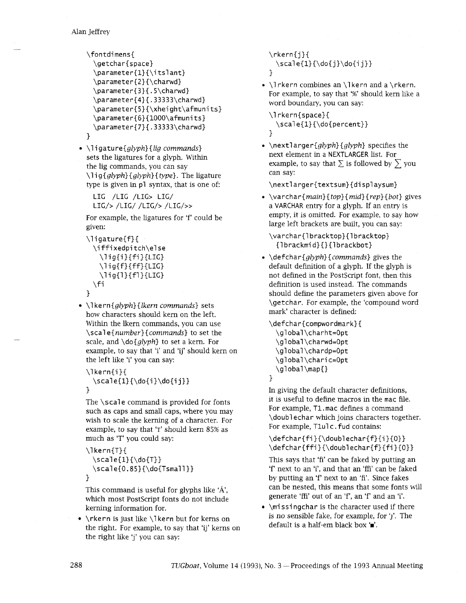```
\fontdimens{ 
  \getchar{space} 
  \parameter{1}{\itslant}
  \parameter{2}{\charwd} 
 \parameter{3}{.5\charwd} 
 \parameter{4}{.33333\charwd} 
 \parameter{5}{\xheight\afmunits} 
 \parameter{6}{1000\afmunits} 
 \parameter{7}{.33333\charwd}
1
```
 $\bullet$  \ligature{glyph}{lig commands} sets the ligatures for a glyph. With the lig commands, you can say \lig{glyph}{glyph}{type}. The ligature type is given in pl syntax, that is one of:

LIG /LIG /LIG> LIG/ LIG/> /LIG/ /LIG/> /LIG/>>

For example, the ligatures for 'f' could be given:

```
\l igature{f}{ 
 \i ffixedpi tch\el se 
   \{i\}{fi}{LIG}
   \setminuslig{f}{ff}{LIG}
   \{1\}{f1}{LIG}
 \fi
```
 $\{\end{aligned}$  \lefth{lefth} {lkern commands} sets how characters should kern on the left. Within the lkern commands, you can use \scal e{number}{commands} to set the scale, and  $\d{glvph}$  to set a kern. For example, to say that 'i' and 'ij' should kern on the left like 'i' you can say:

```
\I kern{i}{ 
  \scale{l}{\do{i }\do{i j}} 
1
```
The \scale command is provided for fonts such as caps and small caps, where you may wish to scale the kerning of a character. For example, to say that 'T' should kern 85% as

```
much as 'T' you could say: 
\I kern{T}{ 
  \setminusscale{1}{\setminusdo{T}}
  \scale{0.85}{\do{Tsmall}}
1
```
This command is useful for glyphs like ' $\hat{A}$ ', which most PostScript fonts do not include kerning information for.

• \rkern is just like \lkern but for kerns on the right. For example, to say that 'ij' kerns on the right like 'j' you can say:

 $\text{rkern{j}}$  $\scale{1}{\do{j}\do{i j}}$ **1** 

 $\bullet$  \Irkern combines an \Ikern and a \rkern. For example, to say that '%' should kern like a word boundary, you can say:

\lrkern{space}{ \scal e{l}{\do{percent}} **1** 

 $\bullet$  \nextlarger{glyph} {glyph} specifies the next element in a NEXTLARGER list. For example, to say that  $\Sigma$  is followed by  $\Sigma$  you can say:

\nextlarger{textsum}{di splaysum}

 $\bullet \ \ \varphi{main}\$ {top}{mid}{rep}{bot} gives a VARCHAR entry for a glyph. If an entry is empty, it is omitted. For example, to say how large left brackets are built, you can say:

\varchar{lbracktop}{lbracktop} {I brackmi d}{}{l brackbot}

 $\bullet$  \defchar{*glyph*}{*commands*} gives the default definition of a glyph. If the glyph is not defined in the Postscript font, then this definition is used instead. The commands should define the parameters given above for \getchar. For example, the 'compound word mark' character is defined:

\defchar{compwordmark}{ \global \charht=Opt \global \charwd=Opt \global \chardp=Opt \global \chari c=Opt \global\map{}

**1** 

In giving the default character definitions, it is useful to define macros in the mac file. For example, Tl . mac defines a command \doubl echar which joins characters together. For example, T1u1c. fud contains:

**\defchar{fi}{\doublechar{f}{i}{O}}**  \defchar{ffi}{\doublechar{f}{fi}{0}}

This says that 'fi' can be faked by putting an 'f' next to an 'i', and that an 'ffi' can be faked by putting an 'f' next to an 'fi'. Since fakes can be nested, this means that some fonts will generate 'ffi' out of an 'f', an 'f' and an 'i'.

 $\bullet$  \missingchar is the character used if there is no sensible fake, for example, for 'j'. The default is a half-em black box **'a'.**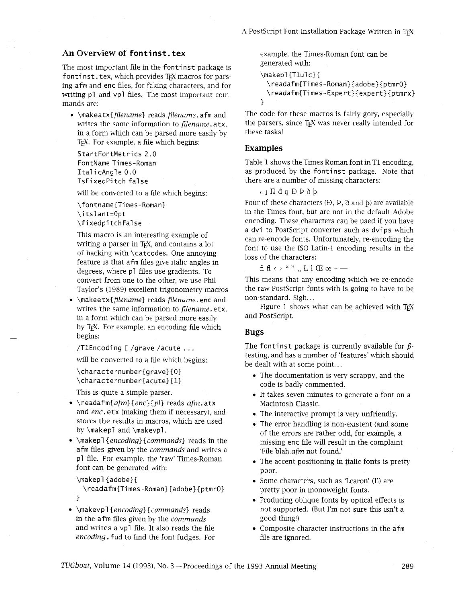### **An Overview of fontinst. tex**

The most important file in the fontinst package is fontinst. tex, which provides TFX macros for parsing afrn and enc files, for faking characters, and for writing pl and vpl files. The most important commands are:

 $\bullet$  \makeatx{filename} reads filename. afm and writes the same information to filename. atx, in a form which can be parsed more easily by TEX. For example, a file which begins:

StartFontMetrics 2.0 FontName Ti mes-Roman ItalicAngle 0.0 IsFixedPi tch false

will be converted to a file which begins:

\fontname{Ti mes-Roman} \i tsl ant=Opt \fixedpi tchfal se

This macro is an interesting example of writing a parser in T<sub>E</sub>X, and contains a lot of hacking with \catcodes. One annoying feature is that afrn files give italic angles in degrees, where pl files use gradients. To convert from one to the other, we use Phil Taylor's (1989) excellent trigonometry macros

• \makeetx{filename} reads filename. enc and writes the same information to filename. etx, in a form which can be parsed more easily by TEX. For example, an encoding file which begins:

/TlEncoding [/grave /acute ...

will be converted to a file which begins:

\characternumber{grave}{O} \characternumber{acute}{l}

This is quite a simple parser.

- $\bullet$  \readafm{afm}{enc}{pl} reads afm.atx and enc. etx (making them if necessary), and stores the results in macros, which are used by \makepl and \makevpl.
- $\bullet$  \makepl{encoding}{commands} reads in the afm files given by the *commands* and writes a pl file. For example, the 'raw' Times-Roman font can be generated with:

\makepl {adobe}{

\readafm{Times-Rornan}{adobe}{ptmrO} **1** 

• \makevpl{encoding}{commands} reads in the afrn files given by the commands and writes a vpl file. It also reads the file encoding. fud to find the font fudges. For example, the Times-Roman font can be generated with:

```
\makepl{T1ulc}{
  \readafm{Times-Roman}{adobe}{ptmrO} 
  \readafm{Ti mes-Expert}{expert} {ptmrx} 
1
```
The code for these macros is fairly gory, especially the parsers, since T<sub>F</sub>X was never really intended for these tasks!

### **Examples**

Table 1 shows the Times Roman font in T1 encoding, as produced by the fontinst package. Note that there are a number of missing characters:

 $0<sub>1</sub>$  D d n D  $\rho$  d  $b$ 

Four of these characters **(D. P,** a and **b)** are available in the Times font, but are not in the default Adobe encoding. These characters can be used if you have a dvi to PostScript converter such as dvips which can re-encode fonts. Unfortunately, re-encoding the font to use the IS0 Latin-1 encoding results in the loss of the characters:

fi fl  $\leftrightarrow$  " ", , L  $\downarrow$  **C**  $\infty$  - -

This means that any encoding which we re-encode the raw PostScript fonts with is going to have to be non-standard. Sigh.. .

Figure 1 shows what can be achieved with  $Tr X$ and Postscript.

#### **Bugs**

The fontinst package is currently available for  $\beta$ testing, and has a number of 'features' which should be dealt with at some point.. .

- The documentation is very scrappy, and the code is badly commented.
- It takes seven minutes to generate a font on a Macintosh Classic.
- The interactive prompt is very unfriendly.
- The error handling is non-existent (and some of the errors are rather odd, for example, a missing enc file will result in the complaint 'File blah.afm not found.'
- The accent positioning in italic fonts is pretty poor.
- Some characters, such as 'Lcaron' (L) are pretty poor in monoweight fonts.
- Producing oblique fonts by optical effects is not supported. (But I'm not sure this isn't a good thing!)
- Composite character instructions in the afrn file are ignored.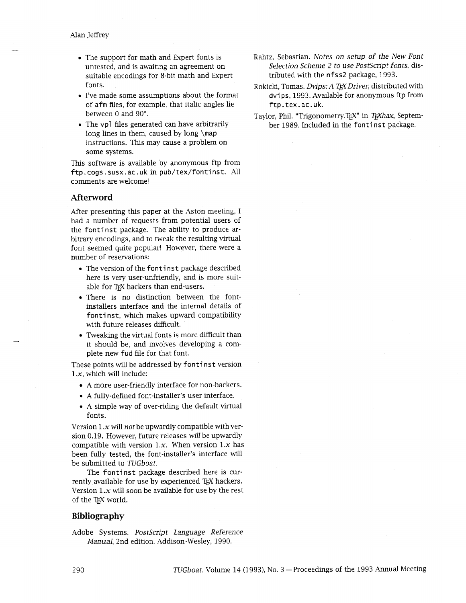- The support for math and Expert fonts is untested, and is awaiting an agreement on suitable encodings for 8-bit math and Expert fonts.
- I've made some assumptions about the format of afm files, for example, that italic angles lie between *0* and *90".*
- The vpl files generated can have arbitrarily long lines in them, caused by long  $\mapsto$ instructions. This may cause a problem on some systems.

This software is available by anonymous ftp from ftp.cogs.susx.ac.uk in pub/tex/fontinst. All comments are welcome!

### **Afterword**

After presenting this paper at the Aston meeting, I had a number of requests from potential users of the fontinst package. The ability to produce **ar**bitrary encodings, and to tweak the resulting virtual font seemed quite popular! However, there were a number of reservations:

- The version of the fontinst package described here is very user-unfriendly, and is more suitable for TEX hackers than end-users.
- There is no distinction between the fontinstallers interface and the internal details of fontinst, which makes upward compatibility with future releases difficult.
- $\bullet$  Tweaking the virtual fonts is more difficult than it should be, and involves developing a complete new fud file for that font.

These points will be addressed by fontinst version 1.x, which will include:

- A more user-friendly interface for non-hackers.
- A fully-defined font-installer's user interface.
- A simple way of over-riding the default virtual fonts.

Version  $1.x$  will *not* be upwardly compatible with version *0.19.* However, future releases **will** be upwardly compatible with version *1.x.* When version *1.x* has been fully tested, the font-installer's interface will be submitted to *TUGboat.* 

The fontinst package described here is currently available for use by experienced TEX hackers. Version  $1.x$  will soon be available for use by the rest of the TFX world.

### **Bibliography**

Adobe Systems. *Postscript Language Reference Manual,* 2nd edition. Addison-Wesley, *1990.* 

- Rahtz, Sebastian. *Notes on setup of the New Font Selection Scheme 2 to use Postscript fonts,* distributed with the nf ss2 package, *1993.*
- Rokicki, Tomas. *Dvips: A T<sub>H</sub>X Driver*, distributed with dvi ps, *1993.* Available for anonymous ftp from ftp.tex.ac.uk.
- Taylor, Phil. "Trigonometry.TEX" in *TEXhax*, September 1989. Included in the fontinst package.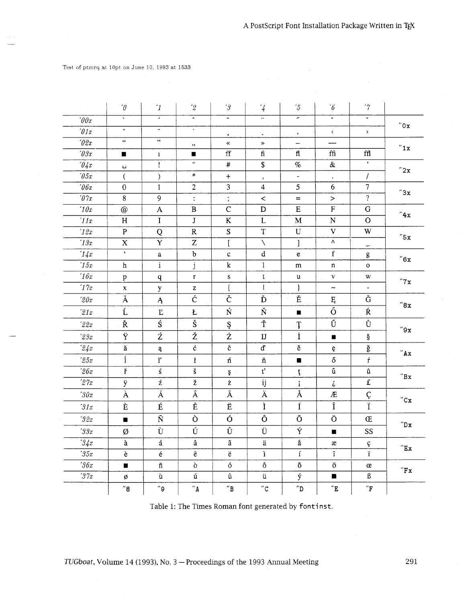Test of ptmrq at l0pt on June 10. 1993 at 1533

|                      | $\cdot_{\textcolor{black}{\theta}}$ | $\mathcal{L}_{1}$            | $^{\prime}2$           | $^\prime 3$                     | $\frac{7}{4}$           | $^\prime\!5$             | $\hat{b}$                       | $\gamma$                 |                       |
|----------------------|-------------------------------------|------------------------------|------------------------|---------------------------------|-------------------------|--------------------------|---------------------------------|--------------------------|-----------------------|
| $\hat{y}$            | $\overline{\phantom{a}}$            | $\overline{\phantom{0}}$     | $\hat{\phantom{a}}$    | $\tilde{\phantom{a}}$           | $\overline{\cdot}$      | $\overline{\phantom{a}}$ | $\overline{\cdot}$              | $\checkmark$             | $^{\prime\prime}$ O x |
| $\theta$ 1x          | $\ddot{\phantom{0}}$                | $\qquad \qquad \blacksquare$ | $\bullet$              | $\blacktriangle$                | $\omega$                | $^\bullet$               | $\langle$                       | $\,$                     |                       |
| $\sqrt{2x}$          | $\epsilon\epsilon$                  | $, \,$                       | ,,                     | ≪                               | $\gg$                   | $\overline{\phantom{m}}$ |                                 |                          | "1x                   |
| $\theta \mathcal{F}$ | $\blacksquare$                      | $\mathbf{1}$                 | $\blacksquare$         | $\mathop{\text{ff}}$            | $\mathop{\text{fi}}$    | fl                       | ffi                             | $\operatorname{ffl}$     |                       |
| 04x                  | $\sqcup$                            | Ţ                            | $\mathbf{H}$           | $\#$                            | \$                      | $\%$                     | $\&$                            | $\pmb{\cdot}$            | "2x                   |
| $\hat{y}$            | $\overline{(\ }$                    | $\mathcal{E}$                | $\ast$                 | $\ddot{}$                       | $\cdot$                 | $\blacksquare$           | $\bullet$                       | $\overline{I}$           |                       |
| $\theta$ 6x          | 0                                   | $\mathbf{1}$                 | $\overline{2}$         | 3                               | 4                       | 5                        | 6                               | $\overline{7}$           | "3x                   |
| $\sqrt{07x}$         | 8                                   | 9                            | $\ddot{\cdot}$         | $\vdots$                        | $\,<\,$                 | $=$                      | $\, > \,$                       | $\overline{?}$           |                       |
| 10x                  | $\circledcirc$                      | $\boldsymbol{\mathsf{A}}$    | $\, {\bf B}$           | $\overline{C}$                  | D                       | $\mathbf E$              | ${\bf F}$                       | ${\bf G}$                | $^{\prime\prime}4x$   |
| '11x                 | H                                   | $\mathbf I$                  | $\bf J$                | $\bf K$                         | L                       | $\mathbf M$              | ${\bf N}$                       | $\mathbf O$              |                       |
| 12x                  | ${\bf P}$                           | Q                            | ${\bf R}$              | S                               | $\mathbf T$             | ${\bf U}$                | $\mathbf V$                     | W                        | "5x                   |
| 13x                  | $\mathbf X$                         | $\mathbf Y$                  | $\rm{Z}$               | $\mathbf{I}$                    | N                       | 1                        | Λ                               |                          |                       |
| '14x                 | $\mathbf{C}$                        | a                            | $\bf b$                | c                               | $\rm d$                 | e                        | $\mathbf f$                     | g                        | $^{\prime\prime}6x$   |
| '15x                 | $\hbar$                             | $\mathbf{i}$ .               | j                      | $\bf k$                         | $\mathbf{1}$            | m                        | $\mathbf n$                     | $\mathbf O$              |                       |
| 16x                  | $\, {\bf p}$                        | $\mathbf{q}$                 | $\mathbf r$            | S                               | t                       | u                        | $\mathbf{V}$                    | W                        | "7x                   |
| '17x                 | $\mathbf X$                         | y                            | z                      | $\{$                            | $\mathbf{I}$            | ł                        | $\tilde{\phantom{a}}$           | $\overline{\phantom{0}}$ |                       |
| 20x                  | Ă                                   | $\mathsf{A}$                 | $\overline{\acute{c}}$ | $\overline{\check{\mathbf{C}}}$ | Ď                       | Ě                        | Ę                               | Ğ                        | $^{\prime\prime}8x$   |
| 21x                  | Ĺ                                   | $\rm E$                      | Ł                      | Ń                               | Ň                       | п                        | $\overline{\tilde{\mathrm{o}}}$ | Ŕ                        |                       |
| 22x                  | Ř                                   | Ś                            | Š                      | Ş                               | Ť                       | Ţ                        | Ű                               | Ů                        | $''9x$                |
| $2\beta x$           | Ÿ                                   | ź                            | Ž                      | Ż                               | $\overline{\mathbf{U}}$ | İ                        | $\blacksquare$                  | ş                        |                       |
| 24x                  | ă                                   | ą                            | $\acute{\mathrm{c}}$   | č                               | ď                       | ě                        | ę                               | ğ                        | "Ax"                  |
| 25x                  | í                                   | $\mathbf{l}'$                | $\mathbf{r}$           | ń                               | ň                       | $\blacksquare$           | ő                               | $\acute{\rm r}$          |                       |
| 26x                  | ř                                   | ś                            | š                      | ş                               | $\overline{t'}$         | ţ                        | ű                               | ů                        | $^{\prime\prime}$ Bx  |
| 27x                  | ÿ                                   | ź                            | ž                      | $\dot{\mathbf{Z}}$              | ij                      | ĩ                        | $\ddot{\bm{\iota}}$             | £                        |                       |
| 30x                  | À                                   | Á                            | Â                      | Ã                               | Ä                       | $\overline{\AA}$         | Æ                               |                          | $^{\prime\prime}$ C x |
| 31x                  | È                                   | É                            | $\overline{\hat{E}}$   | Ë                               | Ì                       | $\overline{\mathbf{I}}$  | Î                               | $rac{C}{\ddot{i}}$       |                       |
| 32x                  | $\blacksquare$                      | $\tilde{\text{N}}$           | Ò                      | Ó                               | Ô                       | Õ                        | $\overline{O}$                  | Œ                        | $^{\prime\prime}$ Dx  |
| 33x                  | Ø                                   | Ù                            | Ú                      | Û                               | Ü                       | Ý                        | $\blacksquare$                  | SS                       |                       |
| 34x                  | à                                   | $\acute{\text{a}}$           | $\hat{\mathbf{a}}$     | ã                               | $\ddot{\rm a}$          | å                        | æ                               | ç                        | $^{\prime\prime}$ Ex  |
| 35x                  | è                                   | $\acute{\text e}$            | $\hat{\textbf{e}}$     | $\ddot{\text{e}}$               | ì                       | $\acute{\mathrm{i}}$     | $\hat{\textbf{l}}$              | ï                        |                       |
|                      |                                     | $\tilde{\mathbf{n}}$         | ò                      | ó                               | ô                       | $\tilde{\text{o}}$       | $\ddot{\text{o}}$               | œ                        |                       |
| 36x                  | $\blacksquare$                      |                              |                        |                                 |                         |                          |                                 |                          | $^{\prime\prime}$ F x |
| 37x                  | ø                                   | ù                            | ú                      | û                               | ü                       | ý                        | П                               | $\boldsymbol{\beta}$     |                       |

Table 1: The Times Roman font generated by fontinst.

291